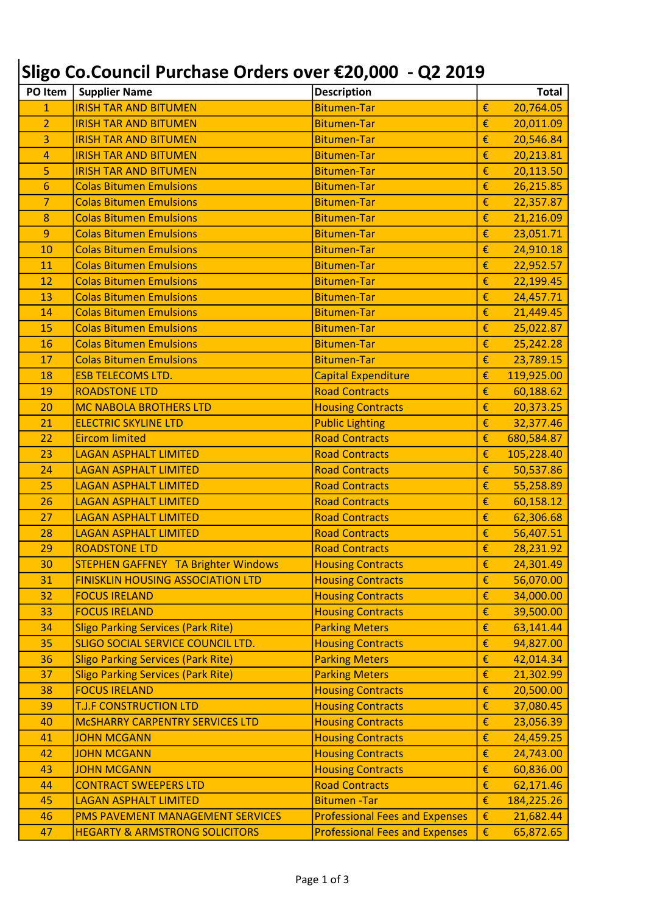## Sligo Co.Council Purchase Orders over €20,000 - Q2 2019

| PO Item        | <b>Supplier Name</b>                       | <b>Description</b>                    |   | <b>Total</b> |
|----------------|--------------------------------------------|---------------------------------------|---|--------------|
| $\overline{1}$ | <b>IRISH TAR AND BITUMEN</b>               | <b>Bitumen-Tar</b>                    | € | 20,764.05    |
| $\overline{2}$ | <b>IRISH TAR AND BITUMEN</b>               | <b>Bitumen-Tar</b>                    | € | 20,011.09    |
| 3              | <b>IRISH TAR AND BITUMEN</b>               | <b>Bitumen-Tar</b>                    | € | 20,546.84    |
| 4              | <b>IRISH TAR AND BITUMEN</b>               | <b>Bitumen-Tar</b>                    | € | 20,213.81    |
| 5              | <b>IRISH TAR AND BITUMEN</b>               | <b>Bitumen-Tar</b>                    | € | 20,113.50    |
| 6              | <b>Colas Bitumen Emulsions</b>             | <b>Bitumen-Tar</b>                    | € | 26,215.85    |
| $\overline{7}$ | <b>Colas Bitumen Emulsions</b>             | <b>Bitumen-Tar</b>                    | € | 22,357.87    |
| 8              | <b>Colas Bitumen Emulsions</b>             | <b>Bitumen-Tar</b>                    | € | 21,216.09    |
| 9              | <b>Colas Bitumen Emulsions</b>             | <b>Bitumen-Tar</b>                    | € | 23,051.71    |
| 10             | <b>Colas Bitumen Emulsions</b>             | <b>Bitumen-Tar</b>                    | € | 24,910.18    |
| 11             | <b>Colas Bitumen Emulsions</b>             | <b>Bitumen-Tar</b>                    | € | 22,952.57    |
| 12             | <b>Colas Bitumen Emulsions</b>             | <b>Bitumen-Tar</b>                    | € | 22,199.45    |
| 13             | <b>Colas Bitumen Emulsions</b>             | <b>Bitumen-Tar</b>                    | € | 24,457.71    |
| 14             | <b>Colas Bitumen Emulsions</b>             | <b>Bitumen-Tar</b>                    | € | 21,449.45    |
| 15             | <b>Colas Bitumen Emulsions</b>             | <b>Bitumen-Tar</b>                    | € | 25,022.87    |
| 16             | <b>Colas Bitumen Emulsions</b>             | <b>Bitumen-Tar</b>                    | € | 25,242.28    |
| 17             | <b>Colas Bitumen Emulsions</b>             | <b>Bitumen-Tar</b>                    | € | 23,789.15    |
| 18             | <b>ESB TELECOMS LTD.</b>                   | <b>Capital Expenditure</b>            | € | 119,925.00   |
| 19             | <b>ROADSTONE LTD</b>                       | <b>Road Contracts</b>                 | € | 60,188.62    |
| 20             | <b>MC NABOLA BROTHERS LTD</b>              | <b>Housing Contracts</b>              | € | 20,373.25    |
| 21             | <b>ELECTRIC SKYLINE LTD</b>                | <b>Public Lighting</b>                | € | 32,377.46    |
| 22             | <b>Eircom limited</b>                      | <b>Road Contracts</b>                 | € | 680,584.87   |
| 23             | <b>LAGAN ASPHALT LIMITED</b>               | <b>Road Contracts</b>                 | € | 105,228.40   |
| 24             | <b>LAGAN ASPHALT LIMITED</b>               | <b>Road Contracts</b>                 | € | 50,537.86    |
| 25             | <b>LAGAN ASPHALT LIMITED</b>               | <b>Road Contracts</b>                 | € | 55,258.89    |
| 26             | <b>LAGAN ASPHALT LIMITED</b>               | <b>Road Contracts</b>                 | € | 60,158.12    |
| 27             | <b>LAGAN ASPHALT LIMITED</b>               | <b>Road Contracts</b>                 | € | 62,306.68    |
| 28             | <b>LAGAN ASPHALT LIMITED</b>               | <b>Road Contracts</b>                 | € | 56,407.51    |
| 29             | <b>ROADSTONE LTD</b>                       | <b>Road Contracts</b>                 | € | 28,231.92    |
| 30             | <b>STEPHEN GAFFNEY TA Brighter Windows</b> | <b>Housing Contracts</b>              | € | 24,301.49    |
| 31             | <b>FINISKLIN HOUSING ASSOCIATION LTD</b>   | <b>Housing Contracts</b>              | € | 56,070.00    |
| 32             | <b>FOCUS IRELAND</b>                       | <b>Housing Contracts</b>              | € | 34,000.00    |
| 33             | <b>FOCUS IRELAND</b>                       | <b>Housing Contracts</b>              | € | 39,500.00    |
| 34             | <b>Sligo Parking Services (Park Rite)</b>  | <b>Parking Meters</b>                 | € | 63,141.44    |
| 35             | SLIGO SOCIAL SERVICE COUNCIL LTD.          | <b>Housing Contracts</b>              | € | 94,827.00    |
| 36             | <b>Sligo Parking Services (Park Rite)</b>  | <b>Parking Meters</b>                 | € | 42,014.34    |
| 37             | <b>Sligo Parking Services (Park Rite)</b>  | <b>Parking Meters</b>                 | € | 21,302.99    |
| 38             | <b>FOCUS IRELAND</b>                       | <b>Housing Contracts</b>              | € | 20,500.00    |
| 39             | <b>T.J.F CONSTRUCTION LTD</b>              | <b>Housing Contracts</b>              | € | 37,080.45    |
| 40             | <b>MCSHARRY CARPENTRY SERVICES LTD</b>     | <b>Housing Contracts</b>              | € | 23,056.39    |
| 41             | <b>JOHN MCGANN</b>                         | <b>Housing Contracts</b>              | € | 24,459.25    |
| 42             | <b>JOHN MCGANN</b>                         | <b>Housing Contracts</b>              | € | 24,743.00    |
| 43             | <b>JOHN MCGANN</b>                         | <b>Housing Contracts</b>              | € | 60,836.00    |
| 44             | <b>CONTRACT SWEEPERS LTD</b>               | <b>Road Contracts</b>                 | € | 62,171.46    |
| 45             | <b>LAGAN ASPHALT LIMITED</b>               | <b>Bitumen-Tar</b>                    | € | 184,225.26   |
| 46             | PMS PAVEMENT MANAGEMENT SERVICES           | <b>Professional Fees and Expenses</b> | € | 21,682.44    |
| 47             | <b>HEGARTY &amp; ARMSTRONG SOLICITORS</b>  | <b>Professional Fees and Expenses</b> | € | 65,872.65    |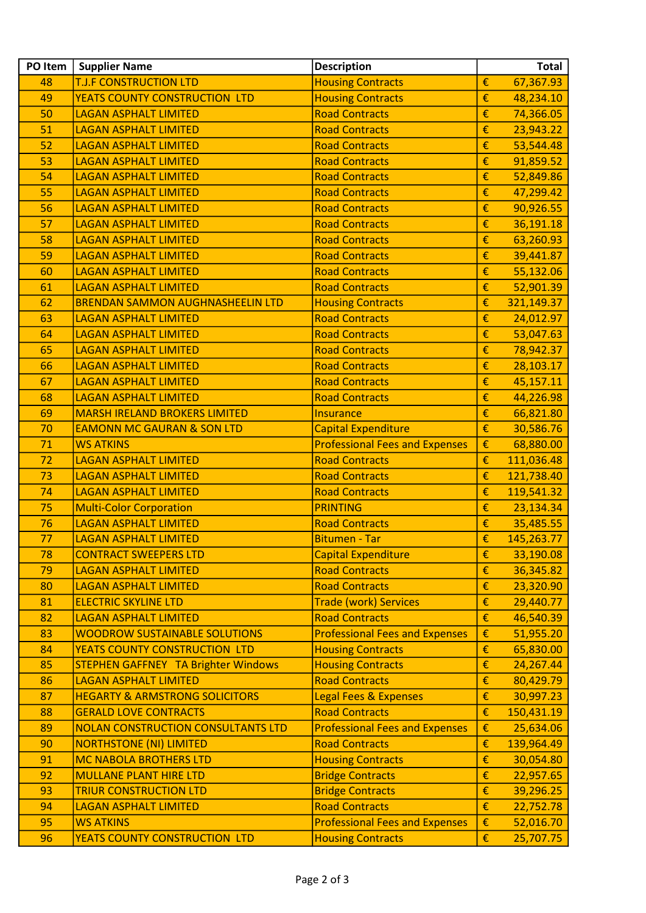| PO Item | <b>Supplier Name</b>                       | <b>Description</b>                    |   | <b>Total</b> |
|---------|--------------------------------------------|---------------------------------------|---|--------------|
| 48      | <b>T.J.F CONSTRUCTION LTD</b>              | <b>Housing Contracts</b>              | € | 67,367.93    |
| 49      | <b>YEATS COUNTY CONSTRUCTION LTD</b>       | <b>Housing Contracts</b>              | € | 48,234.10    |
| 50      | <b>LAGAN ASPHALT LIMITED</b>               | <b>Road Contracts</b>                 | € | 74,366.05    |
| 51      | <b>LAGAN ASPHALT LIMITED</b>               | <b>Road Contracts</b>                 | € | 23,943.22    |
| 52      | <b>LAGAN ASPHALT LIMITED</b>               | <b>Road Contracts</b>                 | € | 53,544.48    |
| 53      | <b>LAGAN ASPHALT LIMITED</b>               | <b>Road Contracts</b>                 | € | 91,859.52    |
| 54      | <b>LAGAN ASPHALT LIMITED</b>               | <b>Road Contracts</b>                 | € | 52,849.86    |
| 55      | <b>LAGAN ASPHALT LIMITED</b>               | <b>Road Contracts</b>                 | € | 47,299.42    |
| 56      | <b>LAGAN ASPHALT LIMITED</b>               | <b>Road Contracts</b>                 | € | 90,926.55    |
| 57      | <b>LAGAN ASPHALT LIMITED</b>               | <b>Road Contracts</b>                 | € | 36,191.18    |
| 58      | <b>LAGAN ASPHALT LIMITED</b>               | <b>Road Contracts</b>                 | € | 63,260.93    |
| 59      | <b>LAGAN ASPHALT LIMITED</b>               | <b>Road Contracts</b>                 | € | 39,441.87    |
| 60      | <b>LAGAN ASPHALT LIMITED</b>               | <b>Road Contracts</b>                 | € | 55,132.06    |
| 61      | <b>LAGAN ASPHALT LIMITED</b>               | <b>Road Contracts</b>                 | € | 52,901.39    |
| 62      | <b>BRENDAN SAMMON AUGHNASHEELIN LTD</b>    | <b>Housing Contracts</b>              | € | 321,149.37   |
| 63      | <b>LAGAN ASPHALT LIMITED</b>               | <b>Road Contracts</b>                 | € | 24,012.97    |
| 64      | <b>LAGAN ASPHALT LIMITED</b>               | <b>Road Contracts</b>                 | € | 53,047.63    |
| 65      | <b>LAGAN ASPHALT LIMITED</b>               | <b>Road Contracts</b>                 | € | 78,942.37    |
| 66      | <b>LAGAN ASPHALT LIMITED</b>               | <b>Road Contracts</b>                 | € | 28,103.17    |
| 67      | <b>LAGAN ASPHALT LIMITED</b>               | <b>Road Contracts</b>                 | € | 45,157.11    |
| 68      | <b>LAGAN ASPHALT LIMITED</b>               | <b>Road Contracts</b>                 | € | 44,226.98    |
| 69      | <b>MARSH IRELAND BROKERS LIMITED</b>       | <b>Insurance</b>                      | € | 66,821.80    |
| 70      | <b>EAMONN MC GAURAN &amp; SON LTD</b>      | <b>Capital Expenditure</b>            | € | 30,586.76    |
| 71      | <b>WS ATKINS</b>                           | <b>Professional Fees and Expenses</b> | € | 68,880.00    |
| 72      | <b>LAGAN ASPHALT LIMITED</b>               | <b>Road Contracts</b>                 | € | 111,036.48   |
| 73      | <b>LAGAN ASPHALT LIMITED</b>               | <b>Road Contracts</b>                 | € | 121,738.40   |
| 74      | <b>LAGAN ASPHALT LIMITED</b>               | <b>Road Contracts</b>                 | € | 119,541.32   |
| 75      | <b>Multi-Color Corporation</b>             | <b>PRINTING</b>                       | € | 23,134.34    |
| 76      | <b>LAGAN ASPHALT LIMITED</b>               | <b>Road Contracts</b>                 | € | 35,485.55    |
| 77      | <b>LAGAN ASPHALT LIMITED</b>               | <b>Bitumen - Tar</b>                  | € | 145,263.77   |
| 78      | <b>CONTRACT SWEEPERS LTD</b>               | <b>Capital Expenditure</b>            | € | 33,190.08    |
| 79      | <b>LAGAN ASPHALT LIMITED</b>               | <b>Road Contracts</b>                 | € | 36,345.82    |
| 80      | <b>LAGAN ASPHALT LIMITED</b>               | <b>Road Contracts</b>                 | € | 23,320.90    |
| 81      | <b>ELECTRIC SKYLINE LTD</b>                | <b>Trade (work) Services</b>          | € | 29,440.77    |
| 82      | <b>LAGAN ASPHALT LIMITED</b>               | <b>Road Contracts</b>                 | € | 46,540.39    |
| 83      | <b>WOODROW SUSTAINABLE SOLUTIONS</b>       | <b>Professional Fees and Expenses</b> | € | 51,955.20    |
| 84      | YEATS COUNTY CONSTRUCTION LTD              | <b>Housing Contracts</b>              | € | 65,830.00    |
| 85      | <b>STEPHEN GAFFNEY TA Brighter Windows</b> | <b>Housing Contracts</b>              | € | 24,267.44    |
| 86      | <b>LAGAN ASPHALT LIMITED</b>               | <b>Road Contracts</b>                 | € | 80,429.79    |
| 87      | <b>HEGARTY &amp; ARMSTRONG SOLICITORS</b>  | <b>Legal Fees &amp; Expenses</b>      | € | 30,997.23    |
| 88      | <b>GERALD LOVE CONTRACTS</b>               | <b>Road Contracts</b>                 | € | 150,431.19   |
| 89      | <b>NOLAN CONSTRUCTION CONSULTANTS LTD</b>  | <b>Professional Fees and Expenses</b> | € | 25,634.06    |
| 90      | <b>NORTHSTONE (NI) LIMITED</b>             | <b>Road Contracts</b>                 | € | 139,964.49   |
| 91      | <b>MC NABOLA BROTHERS LTD</b>              | <b>Housing Contracts</b>              | € | 30,054.80    |
| 92      | <b>MULLANE PLANT HIRE LTD</b>              | <b>Bridge Contracts</b>               | € | 22,957.65    |
| 93      | <b>TRIUR CONSTRUCTION LTD</b>              | <b>Bridge Contracts</b>               | € | 39,296.25    |
| 94      | <b>LAGAN ASPHALT LIMITED</b>               | <b>Road Contracts</b>                 | € | 22,752.78    |
| 95      | <b>WS ATKINS</b>                           | <b>Professional Fees and Expenses</b> | € | 52,016.70    |
| 96      | YEATS COUNTY CONSTRUCTION LTD              | <b>Housing Contracts</b>              | € | 25,707.75    |